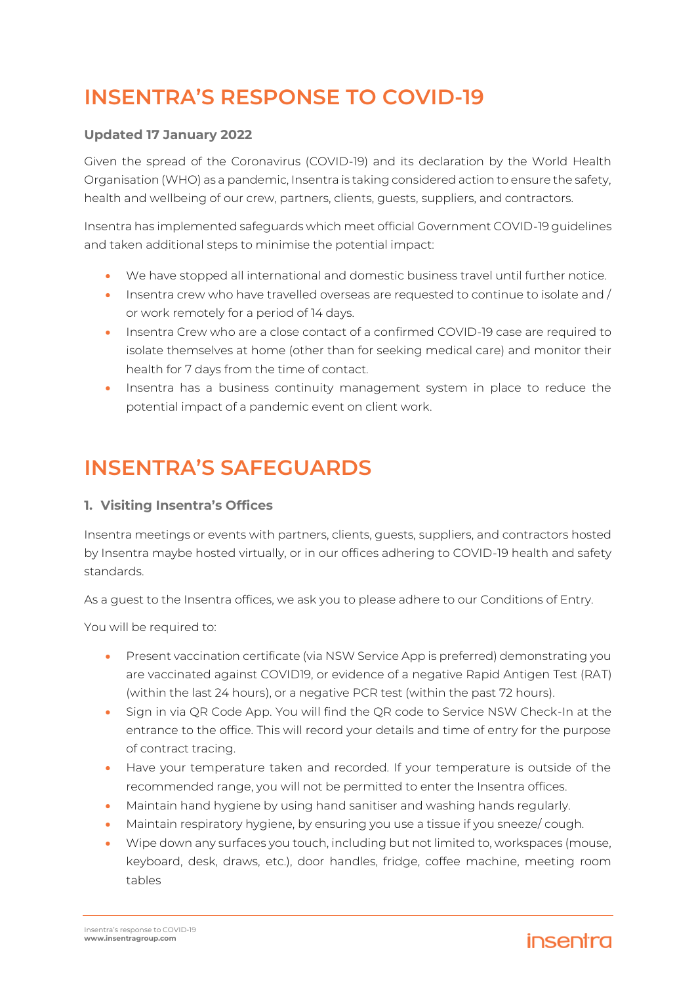# **INSENTRA'S RESPONSE TO COVID-19**

### **Updated 17 January 2022**

Given the spread of the Coronavirus (COVID-19) and its declaration by the World Health Organisation (WHO) as a pandemic, Insentra is taking considered action to ensure the safety, health and wellbeing of our crew, partners, clients, guests, suppliers, and contractors.

Insentra has implemented safeguards which meet official Government COVID-19 guidelines and taken additional steps to minimise the potential impact:

- We have stopped all international and domestic business travel until further notice.
- Insentra crew who have travelled overseas are requested to continue to isolate and / or work remotely for a period of 14 days.
- Insentra Crew who are a close contact of a confirmed COVID-19 case are required to isolate themselves at home (other than for seeking medical care) and monitor their health for 7 days from the time of contact.
- Insentra has a business continuity management system in place to reduce the potential impact of a pandemic event on client work.

# **INSENTRA'S SAFEGUARDS**

#### **1. Visiting Insentra's Offices**

Insentra meetings or events with partners, clients, guests, suppliers, and contractors hosted by Insentra maybe hosted virtually, or in our offices adhering to COVID-19 health and safety standards.

As a guest to the Insentra offices, we ask you to please adhere to our Conditions of Entry.

You will be required to:

- Present vaccination certificate (via NSW Service App is preferred) demonstrating you are vaccinated against COVID19, or evidence of a negative Rapid Antigen Test (RAT) (within the last 24 hours), or a negative PCR test (within the past 72 hours).
- Sign in via QR Code App. You will find the QR code to Service NSW Check-In at the entrance to the office. This will record your details and time of entry for the purpose of contract tracing.
- Have your temperature taken and recorded. If your temperature is outside of the recommended range, you will not be permitted to enter the Insentra offices.
- Maintain hand hygiene by using hand sanitiser and washing hands regularly.
- Maintain respiratory hygiene, by ensuring you use a tissue if you sneeze/ cough.
- Wipe down any surfaces you touch, including but not limited to, workspaces (mouse, keyboard, desk, draws, etc.), door handles, fridge, coffee machine, meeting room tables

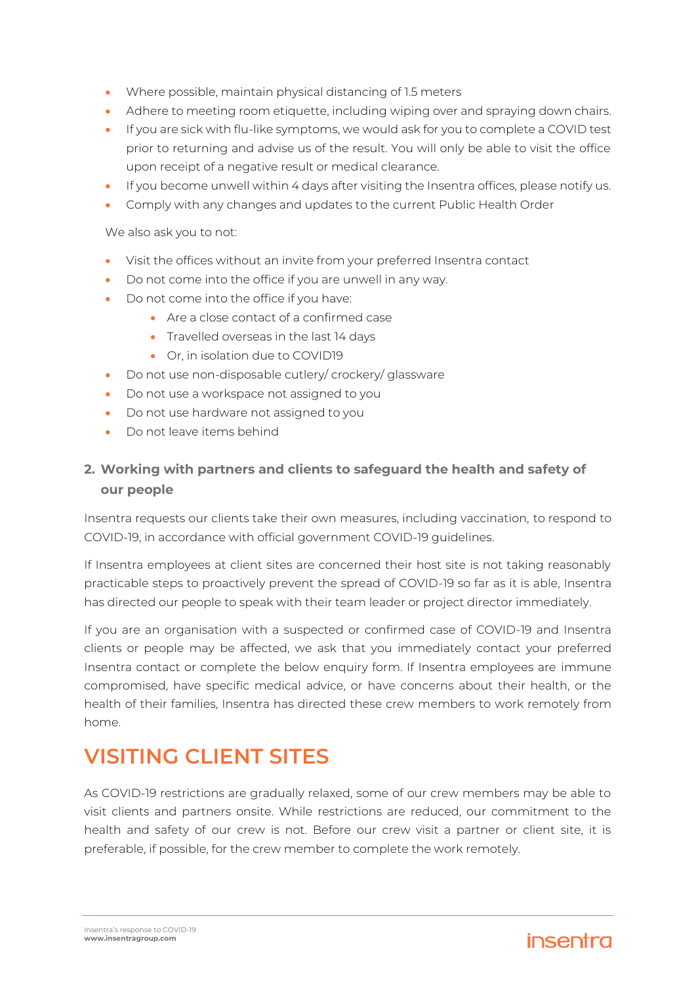- Where possible, maintain physical distancing of 1.5 meters
- Adhere to meeting room etiquette, including wiping over and spraying down chairs.
- If you are sick with flu-like symptoms, we would ask for you to complete a COVID test prior to returning and advise us of the result. You will only be able to visit the office upon receipt of a negative result or medical clearance.
- If you become unwell within 4 days after visiting the Insentra offices, please notify us.
- Comply with any changes and updates to the current Public Health Order

We also ask you to not:

- Visit the offices without an invite from your preferred Insentra contact
- Do not come into the office if you are unwell in any way.
- Do not come into the office if you have:
	- Are a close contact of a confirmed case
	- Travelled overseas in the last 14 days
	- Or, in isolation due to COVID19
- Do not use non-disposable cutlery/ crockery/ glassware
- Do not use a workspace not assigned to you
- Do not use hardware not assigned to you
- Do not leave items behind

### **2. Working with partners and clients to safeguard the health and safety of our people**

Insentra requests our clients take their own measures, including vaccination, to respond to COVID-19, in accordance with official government COVID-19 guidelines.

If Insentra employees at client sites are concerned their host site is not taking reasonably practicable steps to proactively prevent the spread of COVID-19 so far as it is able, Insentra has directed our people to speak with their team leader or project director immediately.

If you are an organisation with a suspected or confirmed case of COVID-19 and Insentra clients or people may be affected, we ask that you immediately contact your preferred Insentra contact or complete the below enquiry form. If Insentra employees are immune compromised, have specific medical advice, or have concerns about their health, or the health of their families, Insentra has directed these crew members to work remotely from home.

## **VISITING CLIENT SITES**

As COVID-19 restrictions are gradually relaxed, some of our crew members may be able to visit clients and partners onsite. While restrictions are reduced, our commitment to the health and safety of our crew is not. Before our crew visit a partner or client site, it is preferable, if possible, for the crew member to complete the work remotely.